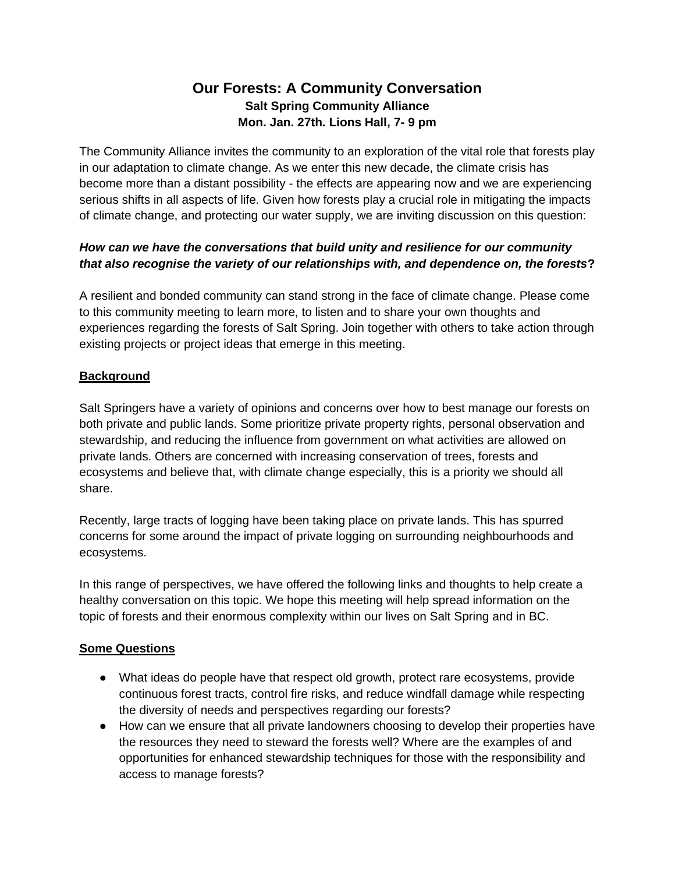# **Our Forests: A Community Conversation Salt Spring Community Alliance Mon. Jan. 27th. Lions Hall, 7- 9 pm**

The Community Alliance invites the community to an exploration of the vital role that forests play in our adaptation to climate change. As we enter this new decade, the climate crisis has become more than a distant possibility - the effects are appearing now and we are experiencing serious shifts in all aspects of life. Given how forests play a crucial role in mitigating the impacts of climate change, and protecting our water supply, we are inviting discussion on this question:

## *How can we have the conversations that build unity and resilience for our community that also recognise the variety of our relationships with, and dependence on, the forests***?**

A resilient and bonded community can stand strong in the face of climate change. Please come to this community meeting to learn more, to listen and to share your own thoughts and experiences regarding the forests of Salt Spring. Join together with others to take action through existing projects or project ideas that emerge in this meeting.

## **Background**

Salt Springers have a variety of opinions and concerns over how to best manage our forests on both private and public lands. Some prioritize private property rights, personal observation and stewardship, and reducing the influence from government on what activities are allowed on private lands. Others are concerned with increasing conservation of trees, forests and ecosystems and believe that, with climate change especially, this is a priority we should all share.

Recently, large tracts of logging have been taking place on private lands. This has spurred concerns for some around the impact of private logging on surrounding neighbourhoods and ecosystems.

In this range of perspectives, we have offered the following links and thoughts to help create a healthy conversation on this topic. We hope this meeting will help spread information on the topic of forests and their enormous complexity within our lives on Salt Spring and in BC.

### **Some Questions**

- What ideas do people have that respect old growth, protect rare ecosystems, provide continuous forest tracts, control fire risks, and reduce windfall damage while respecting the diversity of needs and perspectives regarding our forests?
- How can we ensure that all private landowners choosing to develop their properties have the resources they need to steward the forests well? Where are the examples of and opportunities for enhanced stewardship techniques for those with the responsibility and access to manage forests?